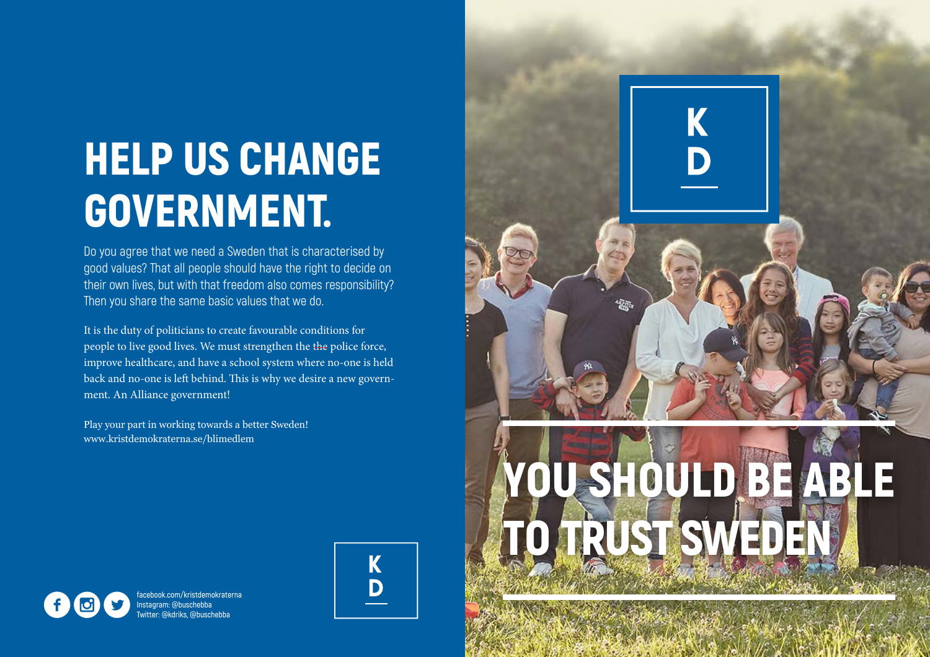# HELP US CHANGE GOVERNMENT.

Do you agree that we need a Sweden that is characterised by good values? That all people should have the right to decide on their own lives, but with that freedom also comes responsibility? Then you share the same basic values that we do.

It is the duty of politicians to create favourable conditions for people to live good lives. We must strengthen the the police force, improve healthcare, and have a school system where no-one is held back and no-one is left behind. This is why we desire a new government. An Alliance government!

Play your part in working towards a better Sweden! www.kristdemokraterna.se/blimedlem



TRUST SWEDE

協調

OU SHOULD BE ABL

K



**facebook.com/kristdemokraterna Instagram: @buschebba**<br>Instagram: @buschebba<br>Twitter: @kdriks, @buschebba